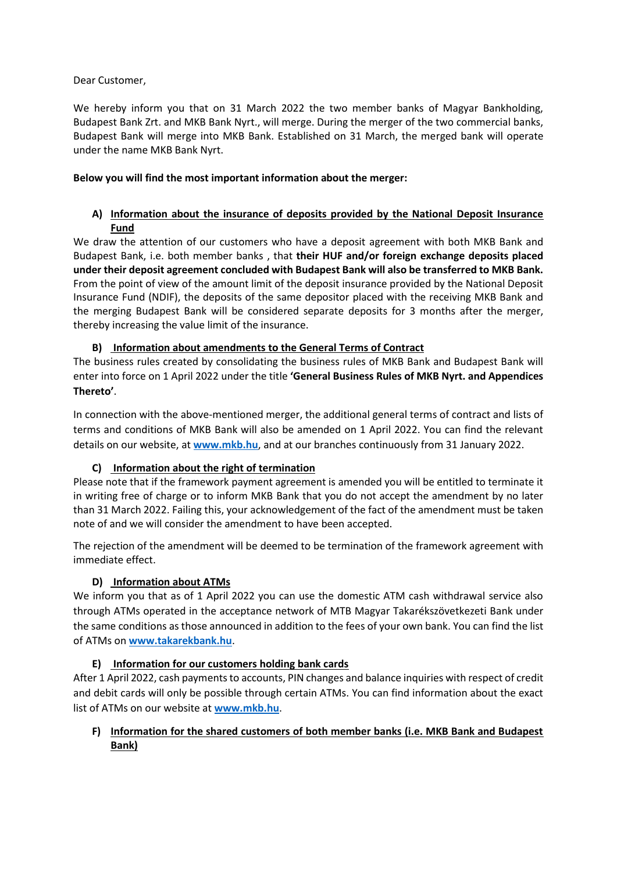### Dear Customer,

We hereby inform you that on 31 March 2022 the two member banks of Magyar Bankholding, Budapest Bank Zrt. and MKB Bank Nyrt., will merge. During the merger of the two commercial banks, Budapest Bank will merge into MKB Bank. Established on 31 March, the merged bank will operate under the name MKB Bank Nyrt.

## **Below you will find the most important information about the merger:**

# **A) Information about the insurance of deposits provided by the National Deposit Insurance Fund**

We draw the attention of our customers who have a deposit agreement with both MKB Bank and Budapest Bank, i.e. both member banks , that **their HUF and/or foreign exchange deposits placed under their deposit agreement concluded with Budapest Bank will also be transferred to MKB Bank.** From the point of view of the amount limit of the deposit insurance provided by the National Deposit Insurance Fund (NDIF), the deposits of the same depositor placed with the receiving MKB Bank and the merging Budapest Bank will be considered separate deposits for 3 months after the merger, thereby increasing the value limit of the insurance.

## **B) Information about amendments to the General Terms of Contract**

The business rules created by consolidating the business rules of MKB Bank and Budapest Bank will enter into force on 1 April 2022 under the title **'General Business Rules of MKB Nyrt. and Appendices Thereto'**.

In connection with the above-mentioned merger, the additional general terms of contract and lists of terms and conditions of MKB Bank will also be amended on 1 April 2022. You can find the relevant details on our website, at **[www.mkb.hu](http://www.mkb.hu/)**, and at our branches continuously from 31 January 2022.

## **C) Information about the right of termination**

Please note that if the framework payment agreement is amended you will be entitled to terminate it in writing free of charge or to inform MKB Bank that you do not accept the amendment by no later than 31 March 2022. Failing this, your acknowledgement of the fact of the amendment must be taken note of and we will consider the amendment to have been accepted.

The rejection of the amendment will be deemed to be termination of the framework agreement with immediate effect.

## **D) Information about ATMs**

We inform you that as of 1 April 2022 you can use the domestic ATM cash withdrawal service also through ATMs operated in the acceptance network of MTB Magyar Takarékszövetkezeti Bank under the same conditions as those announced in addition to the fees of your own bank. You can find the list of ATMs on **[www.takarekbank.hu](http://www.takarekbank.hu/)**.

## **E) Information for our customers holding bank cards**

After 1 April 2022, cash payments to accounts, PIN changes and balance inquiries with respect of credit and debit cards will only be possible through certain ATMs. You can find information about the exact list of ATMs on our website at **[www.mkb.hu](http://www.mkb.hu/)**.

## **F) Information for the shared customers of both member banks (i.e. MKB Bank and Budapest Bank)**